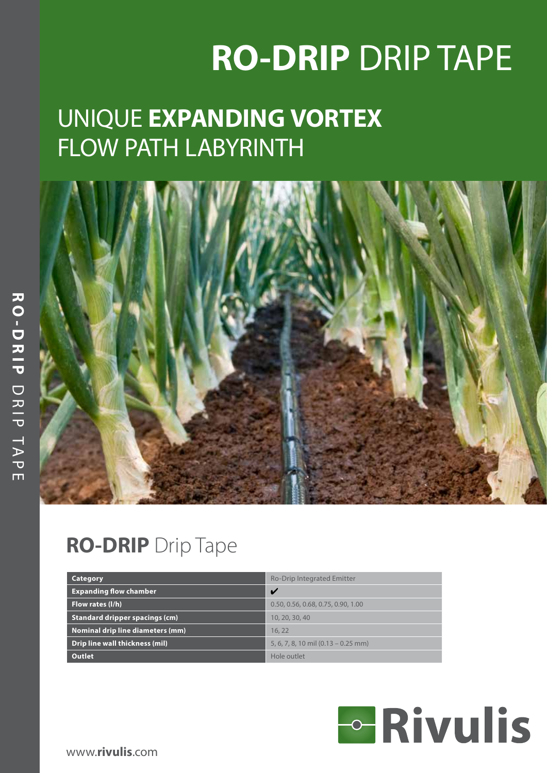# **RO-DRIP** DRIP TAPE

## UNIQUE **EXPANDING VORTEX** FLOW PATH LABYRINTH



### **RO-DRIP** Drip Tape

| Category                              | <b>Ro-Drip Integrated Emitter</b>       |
|---------------------------------------|-----------------------------------------|
| <b>Expanding flow chamber</b>         | V                                       |
| Flow rates (I/h)                      | 0.50, 0.56, 0.68, 0.75, 0.90, 1.00      |
| <b>Standard dripper spacings (cm)</b> | 10, 20, 30, 40                          |
| Nominal drip line diameters (mm)      | 16.22                                   |
| Drip line wall thickness (mil)        | $5, 6, 7, 8, 10$ mil $(0.13 - 0.25$ mm) |
| <b>Outlet</b>                         | Hole outlet                             |

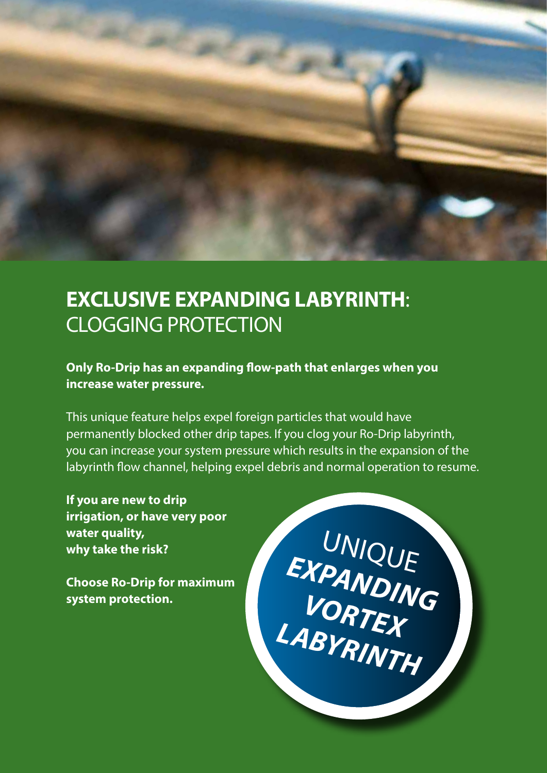

### **EXCLUSIVE EXPANDING LABYRINTH**: CLOGGING PROTECTION

#### **Only Ro-Drip has an expanding flow-path that enlarges when you increase water pressure.**

This unique feature helps expel foreign particles that would have permanently blocked other drip tapes. If you clog your Ro-Drip labyrinth, you can increase your system pressure which results in the expansion of the labyrinth flow channel, helping expel debris and normal operation to resume.

**If you are new to drip irrigation, or have very poor water quality, why take the risk?** 

**Choose Ro-Drip for maximum system protection.** 

UNIQUE EXPANDING *VORTEX LABYRINTH*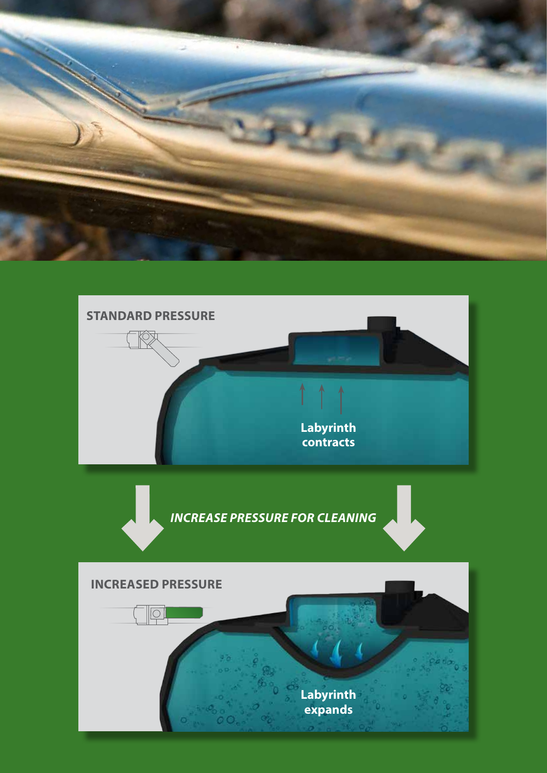

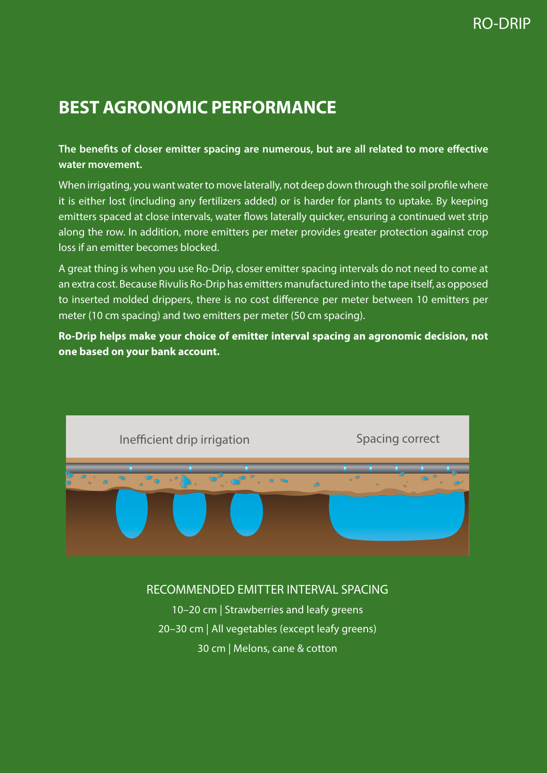### **BEST AGRONOMIC PERFORMANCE**

#### **The benefits of closer emitter spacing are numerous, but are all related to more effective water movement.**

When irrigating, you want water to move laterally, not deep down through the soil profile where it is either lost (including any fertilizers added) or is harder for plants to uptake. By keeping emitters spaced at close intervals, water flows laterally quicker, ensuring a continued wet strip along the row. In addition, more emitters per meter provides greater protection against crop loss if an emitter becomes blocked.

A great thing is when you use Ro-Drip, closer emitter spacing intervals do not need to come at an extra cost. Because Rivulis Ro-Drip has emitters manufactured into the tape itself, as opposed to inserted molded drippers, there is no cost difference per meter between 10 emitters per meter (10 cm spacing) and two emitters per meter (50 cm spacing).

**Ro-Drip helps make your choice of emitter interval spacing an agronomic decision, not one based on your bank account.**



#### RECOMMENDED EMITTER INTERVAL SPACING

10–20 cm | Strawberries and leafy greens 20–30 cm | All vegetables (except leafy greens) 30 cm | Melons, cane & cotton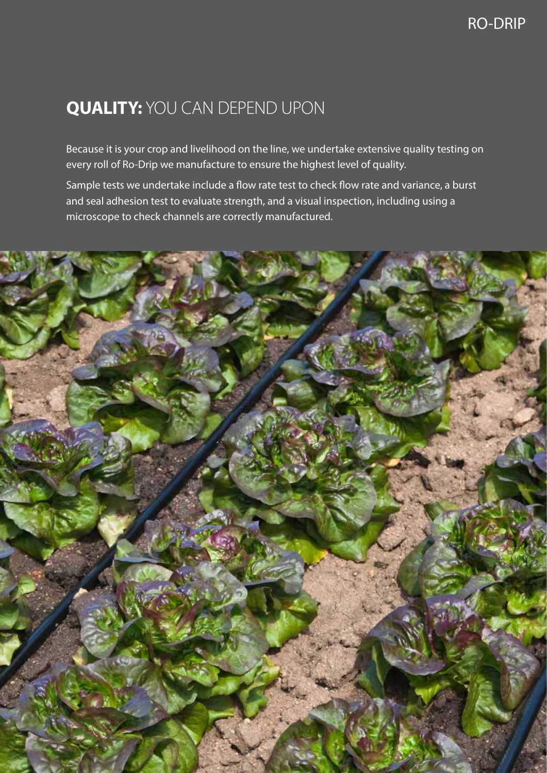### **QUALITY:** YOU CAN DEPEND UPON

Because it is your crop and livelihood on the line, we undertake extensive quality testing on every roll of Ro-Drip we manufacture to ensure the highest level of quality.

Sample tests we undertake include a flow rate test to check flow rate and variance, a burst and seal adhesion test to evaluate strength, and a visual inspection, including using a microscope to check channels are correctly manufactured.

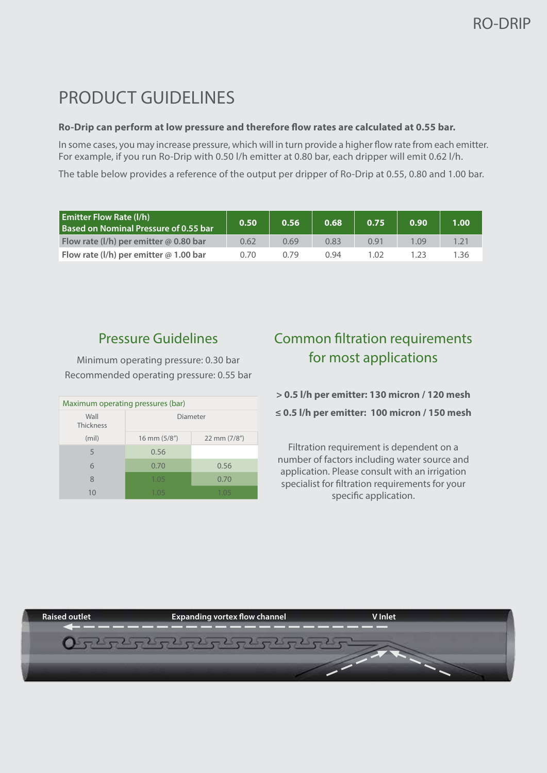### PRODUCT GUIDELINES

#### **Ro-Drip can perform at low pressure and therefore flow rates are calculated at 0.55 bar.**

In some cases, you may increase pressure, which will in turn provide a higher flow rate from each emitter. For example, if you run Ro-Drip with 0.50 l/h emitter at 0.80 bar, each dripper will emit 0.62 l/h.

The table below provides a reference of the output per dripper of Ro-Drip at 0.55, 0.80 and 1.00 bar.

| <b>Emitter Flow Rate (I/h)</b><br>Based on Nominal Pressure of 0.55 bar | 0.50 | 0.56 | 0.68 | 0.751 | 0.90 | 1.00 <sub>1</sub> |
|-------------------------------------------------------------------------|------|------|------|-------|------|-------------------|
| Flow rate (I/h) per emitter $@$ 0.80 bar                                | 0.62 | 0.69 | 0.83 | 0.91  | .09  |                   |
| Flow rate (I/h) per emitter $@$ 1.00 bar                                | 0.70 | J 79 | በ 94 | 1.02  |      | - 36              |

#### Pressure Guidelines

Minimum operating pressure: 0.30 bar Recommended operating pressure: 0.55 bar

| Maximum operating pressures (bar) |              |              |  |  |  |  |  |
|-----------------------------------|--------------|--------------|--|--|--|--|--|
| Wall<br>Thickness                 | Diameter     |              |  |  |  |  |  |
| (mil)                             | 16 mm (5/8") | 22 mm (7/8") |  |  |  |  |  |
| 5                                 | 0.56         |              |  |  |  |  |  |
| 6                                 | 0.70         | 0.56         |  |  |  |  |  |
| 8                                 | 1.05         | 0.70         |  |  |  |  |  |
| 10                                | 1 በ5         | 1 በ5         |  |  |  |  |  |

#### Common filtration requirements for most applications

**> 0.5 l/h per emitter: 130 micron / 120 mesh**

**≤ 0.5 l/h per emitter: 100 micron / 150 mesh**

Filtration requirement is dependent on a number of factors including water source and application. Please consult with an irrigation specialist for filtration requirements for your specific application.

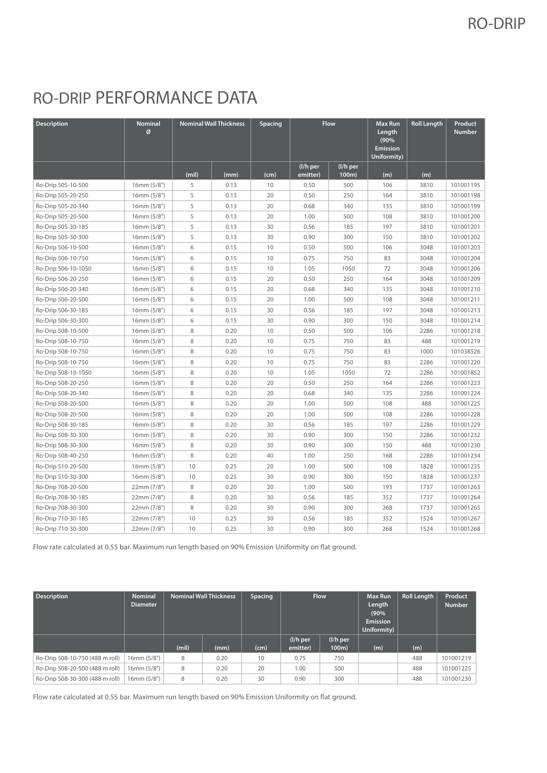#### RO-DRIP

### RO-DRIP PERFORMANCE DATA

| <b>Description</b>  | Nominal<br>Ø |       | <b>Nominal Wall Thickness</b><br>Spacing |      | <b>Flow</b>          |                   | <b>Max Run</b><br>Length<br>(90%<br><b>Emission</b><br>Uniformity) | <b>Roll Length</b> | Product<br><b>Number</b> |
|---------------------|--------------|-------|------------------------------------------|------|----------------------|-------------------|--------------------------------------------------------------------|--------------------|--------------------------|
|                     |              | (mil) | (mm)                                     | (cm) | (I/h per<br>emitter) | (I/h per<br>100m) | (m)                                                                | (m)                |                          |
| Ro-Drip 505-10-500  | 16mm (5/8")  | 5     | 0.13                                     | 10   | 0.50                 | 500               | 106                                                                | 3810               | 101001195                |
| Ro-Drip 505-20-250  | 16mm(5/8")   | 5     | 0.13                                     | 20   | 0.50                 | 250               | 164                                                                | 3810               | 101001198                |
| Ro-Drip 505-20-340  | 16mm (5/8")  | 5     | 0.13                                     | 20   | 0.68                 | 340               | 135                                                                | 3810               | 101001199                |
| Ro-Drip 505-20-500  | 16mm (5/8")  | 5     | 0.13                                     | 20   | 1.00                 | 500               | 108                                                                | 3810               | 101001200                |
| Ro-Drip 505-30-185  | 16mm (5/8")  | 5     | 0.13                                     | 30   | 0.56                 | 185               | 197                                                                | 3810               | 101001201                |
| Ro-Drip 505-30-300  | 16mm(5/8")   | 5     | 0.13                                     | 30   | 0.90                 | 300               | 150                                                                | 3810               | 101001202                |
| Ro-Drip 506-10-500  | 16mm (5/8")  | 6     | 0.15                                     | 10   | 0.50                 | 500               | 106                                                                | 3048               | 101001203                |
| Ro-Drip 506-10-750  | 16mm (5/8")  | 6     | 0.15                                     | 10   | 0.75                 | 750               | 83                                                                 | 3048               | 101001204                |
| Ro-Drip 506-10-1050 | 16mm (5/8")  | 6     | 0.15                                     | 10   | 1.05                 | 1050              | 72                                                                 | 3048               | 101001206                |
| Ro-Drip 506-20-250  | 16mm(5/8")   | 6     | 0.15                                     | 20   | 0.50                 | 250               | 164                                                                | 3048               | 101001209                |
| Ro-Drip 506-20-340  | 16mm (5/8")  | 6     | 0.15                                     | 20   | 0.68                 | 340               | 135                                                                | 3048               | 101001210                |
| Ro-Drip 506-20-500  | 16mm (5/8")  | 6     | 0.15                                     | 20   | 1.00                 | 500               | 108                                                                | 3048               | 101001211                |
| Ro-Drip 506-30-185  | 16mm (5/8")  | 6     | 0.15                                     | 30   | 0.56                 | 185               | 197                                                                | 3048               | 101001213                |
| Ro-Drip 506-30-300  | 16mm (5/8")  | 6     | 0.15                                     | 30   | 0.90                 | 300               | 150                                                                | 3048               | 101001214                |
| Ro-Drip 508-10-500  | 16mm (5/8")  | 8     | 0.20                                     | 10   | 0.50                 | 500               | 106                                                                | 2286               | 101001218                |
| Ro-Drip 508-10-750  | 16mm (5/8")  | 8     | 0.20                                     | 10   | 0.75                 | 750               | 83                                                                 | 488                | 101001219                |
| Ro-Drip 508-10-750  | 16mm (5/8")  | 8     | 0.20                                     | 10   | 0.75                 | 750               | 83                                                                 | 1000               | 101038526                |
| Ro-Drip 508-10-750  | 16mm (5/8")  | 8     | 0.20                                     | 10   | 0.75                 | 750               | 83                                                                 | 2286               | 101001220                |
| Ro-Drip 508-10-1050 | 16mm (5/8")  | 8     | 0.20                                     | 10   | 1.05                 | 1050              | 72                                                                 | 2286               | 101001852                |
| Ro-Drip 508-20-250  | 16mm (5/8")  | 8     | 0.20                                     | 20   | 0.50                 | 250               | 164                                                                | 2286               | 101001223                |
| Ro-Drip 508-20-340  | 16mm (5/8")  | 8     | 0.20                                     | 20   | 0.68                 | 340               | 135                                                                | 2286               | 101001224                |
| Ro-Drip 508-20-500  | 16mm (5/8")  | 8     | 0.20                                     | 20   | 1.00                 | 500               | 108                                                                | 488                | 101001225                |
| Ro-Drip 508-20-500  | 16mm (5/8")  | 8     | 0.20                                     | 20   | 1.00                 | 500               | 108                                                                | 2286               | 101001228                |
| Ro-Drip 508-30-185  | 16mm (5/8")  | 8     | 0.20                                     | 30   | 0.56                 | 185               | 197                                                                | 2286               | 101001229                |
| Ro-Drip 508-30-300  | 16mm (5/8")  | 8     | 0.20                                     | 30   | 0.90                 | 300               | 150                                                                | 2286               | 101001232                |
| Ro-Drip 508-30-300  | 16mm (5/8")  | 8     | 0.20                                     | 30   | 0.90                 | 300               | 150                                                                | 488                | 101001230                |
| Ro-Drip 508-40-250  | 16mm (5/8")  | 8     | 0.20                                     | 40   | 1.00                 | 250               | 168                                                                | 2286               | 101001234                |
| Ro-Drip 510-20-500  | 16mm (5/8")  | 10    | 0.25                                     | 20   | 1.00                 | 500               | 108                                                                | 1828               | 101001235                |
| Ro-Drip 510-30-300  | 16mm (5/8")  | 10    | 0.25                                     | 30   | 0.90                 | 300               | 150                                                                | 1828               | 101001237                |
| Ro-Drip 708-20-500  | 22mm (7/8")  | 8     | 0.20                                     | 20   | 1.00                 | 500               | 193                                                                | 1737               | 101001263                |
| Ro-Drip 708-30-185  | 22mm (7/8")  | 8     | 0.20                                     | 30   | 0.56                 | 185               | 352                                                                | 1737               | 101001264                |
| Ro-Drip 708-30-300  | 22mm (7/8")  | 8     | 0.20                                     | 30   | 0.90                 | 300               | 268                                                                | 1737               | 101001265                |
| Ro-Drip 710-30-185  | 22mm (7/8")  | 10    | 0.25                                     | 30   | 0.56                 | 185               | 352                                                                | 1524               | 101001267                |
| Ro-Drip 710-30-300  | 22mm (7/8")  | 10    | 0.25                                     | 30   | 0.90                 | 300               | 268                                                                | 1524               | 101001268                |

Flow rate calculated at 0.55 bar. Maximum run length based on 90% Emission Uniformity on flat ground.

| <b>Description</b>              | <b>Nominal</b><br><b>Diameter</b> | <b>Nominal Wall Thickness</b> |      | Spacing | <b>Flow</b>          |                   | Max Run<br>Length<br>(90%<br><b>Emission</b><br>Uniformity) | <b>Roll Length</b> | Product<br><b>Number</b> |
|---------------------------------|-----------------------------------|-------------------------------|------|---------|----------------------|-------------------|-------------------------------------------------------------|--------------------|--------------------------|
|                                 |                                   | (mil)                         | (mm) | (cm)    | (I/h per<br>emitter) | (I/h per<br>100m) | (m)                                                         | (m)                |                          |
| Ro-Drip 508-10-750 (488 m roll) | $16$ mm $(5/8")$                  | 8                             | 0.20 | 10      | 0.75                 | 750               |                                                             | 488                | 101001219                |
| Ro-Drip 508-20-500 (488 m roll) | 16mm(5/8")                        | 8                             | 0.20 | 20      | 1.00                 | 500               |                                                             | 488                | 101001225                |
| Ro-Drip 508-30-300 (488 m roll) | $16$ mm $(5/8")$                  | 8                             | 0.20 | 30      | 0.90                 | 300               |                                                             | 488                | 101001230                |

Flow rate calculated at 0.55 bar. Maximum run length based on 90% Emission Uniformity on flat ground.